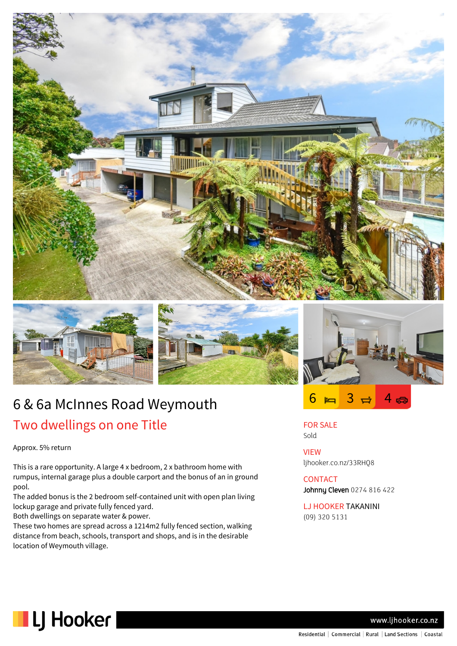





 $6 = 3 \rightleftharpoons 4 \rightleftharpoons$ 

# 6 & 6a McInnes Road Weymouth Two dwellings on one Title

Approx. 5% return

This is a rare opportunity. A large 4 x bedroom, 2 x bathroom home with rumpus, internal garage plus a double carport and the bonus of an in ground pool.

The added bonus is the 2 bedroom self-contained unit with open plan living lockup garage and private fully fenced yard.

Both dwellings on separate water & power.

These two homes are spread across a 1214m2 fully fenced section, walking distance from beach, schools, transport and shops, and is in the desirable location of Weymouth village.

FOR SALE Sold

VIEW ljhooker.co.nz/33RHQ8

## **CONTACT** Johnny Cleven 0274 816 422

LJ HOOKER TAKANINI (09) 320 5131



www.ljhooker.co.nz